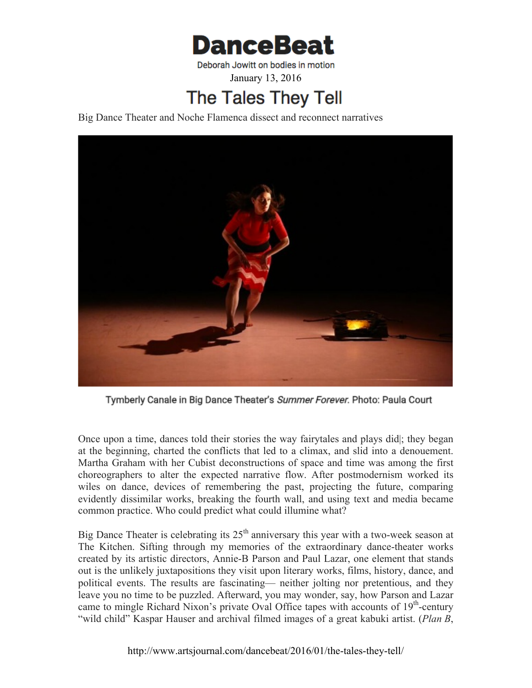

January 13, 2016

## **The Tales They Tell**

Big Dance Theater and Noche Flamenca dissect and reconnect narratives



Tymberly Canale in Big Dance Theater's Summer Forever. Photo: Paula Court

Once upon a time, dances told their stories the way fairytales and plays did|; they began at the beginning, charted the conflicts that led to a climax, and slid into a denouement. Martha Graham with her Cubist deconstructions of space and time was among the first choreographers to alter the expected narrative flow. After postmodernism worked its wiles on dance, devices of remembering the past, projecting the future, comparing evidently dissimilar works, breaking the fourth wall, and using text and media became common practice. Who could predict what could illumine what?

Big Dance Theater is celebrating its  $25<sup>th</sup>$  anniversary this year with a two-week season at The Kitchen. Sifting through my memories of the extraordinary dance-theater works created by its artistic directors, Annie-B Parson and Paul Lazar, one element that stands out is the unlikely juxtapositions they visit upon literary works, films, history, dance, and political events. The results are fascinating— neither jolting nor pretentious, and they leave you no time to be puzzled. Afterward, you may wonder, say, how Parson and Lazar came to mingle Richard Nixon's private Oval Office tapes with accounts of 19<sup>th</sup>-century "wild child" Kaspar Hauser and archival filmed images of a great kabuki artist. (*Plan B*,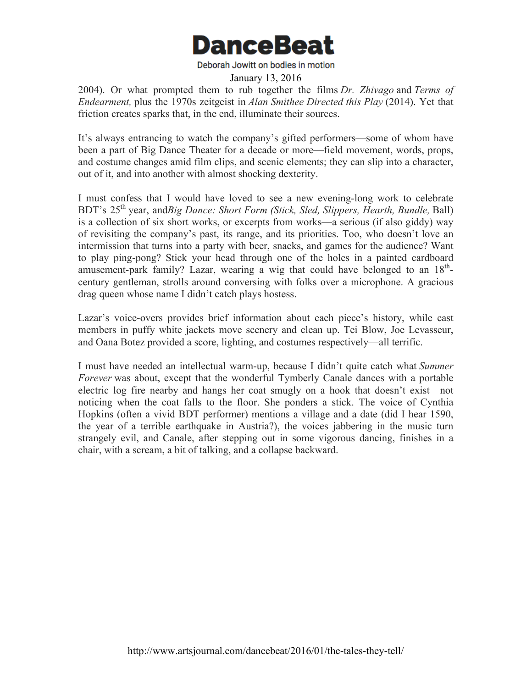

January 13, 2016

2004). Or what prompted them to rub together the films *Dr. Zhivago* and *Terms of Endearment,* plus the 1970s zeitgeist in *Alan Smithee Directed this Play* (2014). Yet that friction creates sparks that, in the end, illuminate their sources.

It's always entrancing to watch the company's gifted performers—some of whom have been a part of Big Dance Theater for a decade or more—field movement, words, props, and costume changes amid film clips, and scenic elements; they can slip into a character, out of it, and into another with almost shocking dexterity.

I must confess that I would have loved to see a new evening-long work to celebrate BDT's 25th year, and*Big Dance: Short Form (Stick, Sled, Slippers, Hearth, Bundle,* Ball) is a collection of six short works, or excerpts from works—a serious (if also giddy) way of revisiting the company's past, its range, and its priorities. Too, who doesn't love an intermission that turns into a party with beer, snacks, and games for the audience? Want to play ping-pong? Stick your head through one of the holes in a painted cardboard amusement-park family? Lazar, wearing a wig that could have belonged to an  $18<sup>th</sup>$ century gentleman, strolls around conversing with folks over a microphone. A gracious drag queen whose name I didn't catch plays hostess.

Lazar's voice-overs provides brief information about each piece's history, while cast members in puffy white jackets move scenery and clean up. Tei Blow, Joe Levasseur, and Oana Botez provided a score, lighting, and costumes respectively—all terrific.

I must have needed an intellectual warm-up, because I didn't quite catch what *Summer Forever* was about, except that the wonderful Tymberly Canale dances with a portable electric log fire nearby and hangs her coat smugly on a hook that doesn't exist—not noticing when the coat falls to the floor. She ponders a stick. The voice of Cynthia Hopkins (often a vivid BDT performer) mentions a village and a date (did I hear 1590, the year of a terrible earthquake in Austria?), the voices jabbering in the music turn strangely evil, and Canale, after stepping out in some vigorous dancing, finishes in a chair, with a scream, a bit of talking, and a collapse backward.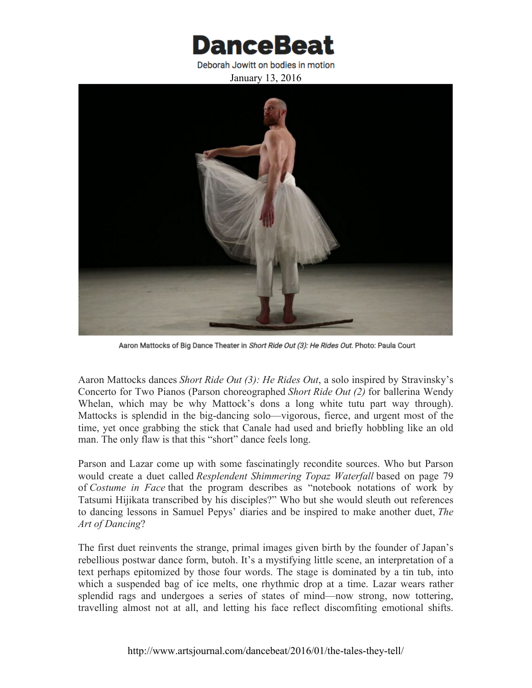

January 13, 2016



Aaron Mattocks of Big Dance Theater in Short Ride Out (3): He Rides Out. Photo: Paula Court

Aaron Mattocks dances *Short Ride Out (3): He Rides Out*, a solo inspired by Stravinsky's Concerto for Two Pianos (Parson choreographed *Short Ride Out (2)* for ballerina Wendy Whelan, which may be why Mattock's dons a long white tutu part way through). Mattocks is splendid in the big-dancing solo—vigorous, fierce, and urgent most of the time, yet once grabbing the stick that Canale had used and briefly hobbling like an old man. The only flaw is that this "short" dance feels long.

Parson and Lazar come up with some fascinatingly recondite sources. Who but Parson would create a duet called *Resplendent Shimmering Topaz Waterfall* based on page 79 of *Costume in Face* that the program describes as "notebook notations of work by Tatsumi Hijikata transcribed by his disciples?" Who but she would sleuth out references to dancing lessons in Samuel Pepys' diaries and be inspired to make another duet, *The Art of Dancing*?

The first duet reinvents the strange, primal images given birth by the founder of Japan's rebellious postwar dance form, butoh. It's a mystifying little scene, an interpretation of a text perhaps epitomized by those four words. The stage is dominated by a tin tub, into which a suspended bag of ice melts, one rhythmic drop at a time. Lazar wears rather splendid rags and undergoes a series of states of mind—now strong, now tottering, travelling almost not at all, and letting his face reflect discomfiting emotional shifts.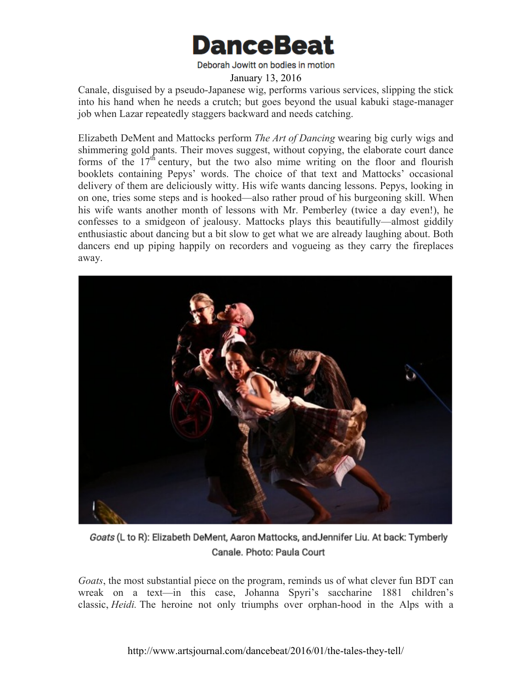

## January 13, 2016

Canale, disguised by a pseudo-Japanese wig, performs various services, slipping the stick into his hand when he needs a crutch; but goes beyond the usual kabuki stage-manager job when Lazar repeatedly staggers backward and needs catching.

Elizabeth DeMent and Mattocks perform *The Art of Dancing* wearing big curly wigs and shimmering gold pants. Their moves suggest, without copying, the elaborate court dance forms of the  $17<sup>th</sup>$  century, but the two also mime writing on the floor and flourish booklets containing Pepys' words. The choice of that text and Mattocks' occasional delivery of them are deliciously witty. His wife wants dancing lessons. Pepys, looking in on one, tries some steps and is hooked—also rather proud of his burgeoning skill. When his wife wants another month of lessons with Mr. Pemberley (twice a day even!), he confesses to a smidgeon of jealousy. Mattocks plays this beautifully—almost giddily enthusiastic about dancing but a bit slow to get what we are already laughing about. Both dancers end up piping happily on recorders and vogueing as they carry the fireplaces away.



Goats (L to R): Elizabeth DeMent, Aaron Mattocks, and Jennifer Liu. At back: Tymberly Canale. Photo: Paula Court

*Goats*, the most substantial piece on the program, reminds us of what clever fun BDT can wreak on a text—in this case, Johanna Spyri's saccharine 1881 children's classic, *Heidi.* The heroine not only triumphs over orphan-hood in the Alps with a